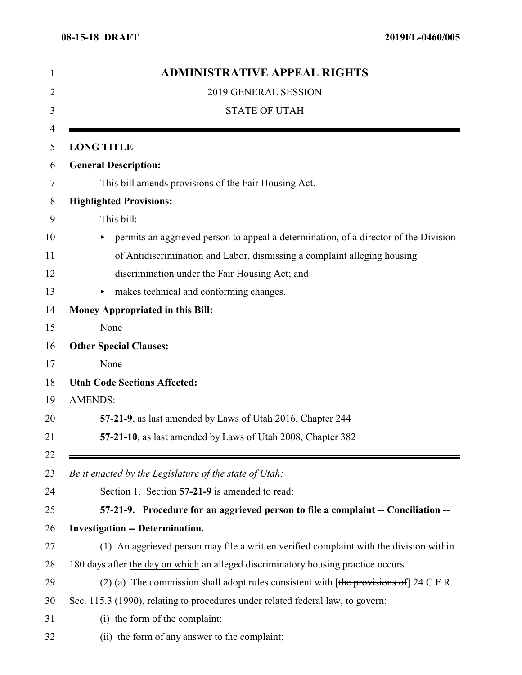| <b>ADMINISTRATIVE APPEAL RIGHTS</b>                                                       |
|-------------------------------------------------------------------------------------------|
| 2019 GENERAL SESSION                                                                      |
| <b>STATE OF UTAH</b>                                                                      |
| <b>LONG TITLE</b>                                                                         |
| <b>General Description:</b>                                                               |
| This bill amends provisions of the Fair Housing Act.                                      |
| <b>Highlighted Provisions:</b>                                                            |
| This bill:                                                                                |
| permits an aggrieved person to appeal a determination, of a director of the Division<br>▶ |
| of Antidiscrimination and Labor, dismissing a complaint alleging housing                  |
| discrimination under the Fair Housing Act; and                                            |
| makes technical and conforming changes.<br>▶                                              |
| <b>Money Appropriated in this Bill:</b>                                                   |
| None                                                                                      |
| <b>Other Special Clauses:</b>                                                             |
| None                                                                                      |
| <b>Utah Code Sections Affected:</b>                                                       |
| <b>AMENDS:</b>                                                                            |
| 57-21-9, as last amended by Laws of Utah 2016, Chapter 244                                |
| 57-21-10, as last amended by Laws of Utah 2008, Chapter 382                               |
| Be it enacted by the Legislature of the state of Utah:                                    |
| Section 1. Section 57-21-9 is amended to read:                                            |
| 57-21-9. Procedure for an aggrieved person to file a complaint -- Conciliation --         |
| <b>Investigation -- Determination.</b>                                                    |
| (1) An aggrieved person may file a written verified complaint with the division within    |
| 180 days after the day on which an alleged discriminatory housing practice occurs.        |
| (2) (a) The commission shall adopt rules consistent with $[the$ provisions of 24 C.F.R.   |
|                                                                                           |
| Sec. 115.3 (1990), relating to procedures under related federal law, to govern:           |
| (i) the form of the complaint;                                                            |
|                                                                                           |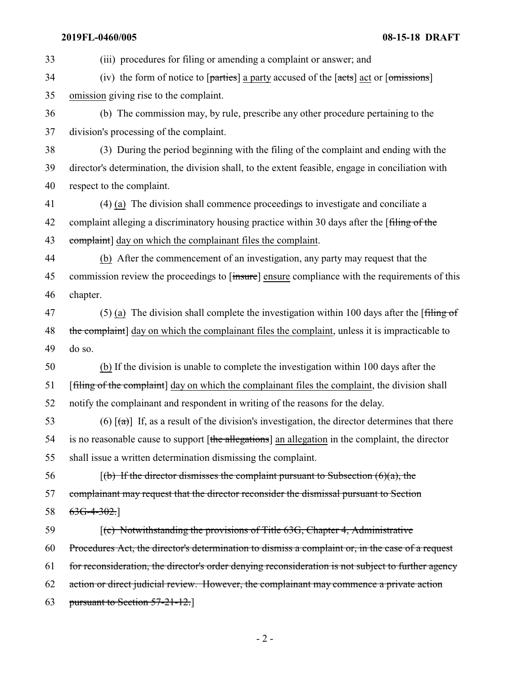#### **2019FL-0460/005 08-15-18 DRAFT**

 (iii) procedures for filing or amending a complaint or answer; and (iv) the form of notice to  $[parties]$  a party accused of the  $[acts]$  act or  $[omissions]$  omission giving rise to the complaint. (b) The commission may, by rule, prescribe any other procedure pertaining to the division's processing of the complaint. (3) During the period beginning with the filing of the complaint and ending with the director's determination, the division shall, to the extent feasible, engage in conciliation with respect to the complaint. (4) (a) The division shall commence proceedings to investigate and conciliate a 42 complaint alleging a discriminatory housing practice within 30 days after the [filing of the 43 complaint day on which the complainant files the complaint. (b) After the commencement of an investigation, any party may request that the 45 commission review the proceedings to [insure] ensure compliance with the requirements of this chapter. 47 (5) (a) The division shall complete the investigation within 100 days after the [filing of 48 the complaint] day on which the complainant files the complaint, unless it is impracticable to do so. (b) If the division is unable to complete the investigation within 100 days after the 51 [filing of the complaint] day on which the complainant files the complaint, the division shall notify the complainant and respondent in writing of the reasons for the delay. 53 (6)  $\lceil$ (a)] If, as a result of the division's investigation, the director determines that there 54 is no reasonable cause to support [the allegations] an allegation in the complaint, the director shall issue a written determination dismissing the complaint. 56 [(b) If the director dismisses the complaint pursuant to Subsection  $(6)(a)$ , the complainant may request that the director reconsider the dismissal pursuant to Section 58 6<del>3G-4-302.</del>] [(c) Notwithstanding the provisions of Title 63G, Chapter 4, Administrative Procedures Act, the director's determination to dismiss a complaint or, in the case of a request for reconsideration, the director's order denying reconsideration is not subject to further agency action or direct judicial review. However, the complainant may commence a private action pursuant to Section 57-21-12.]

 $-2-$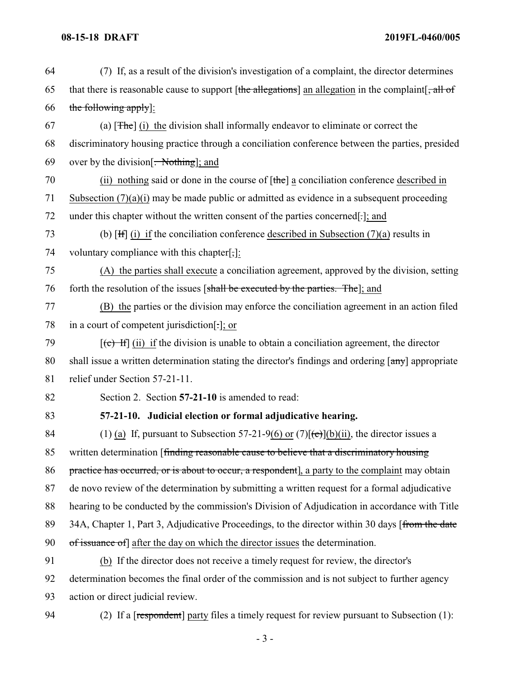# **08-15-18 DRAFT 2019FL-0460/005**

| 64 | (7) If, as a result of the division's investigation of a complaint, the director determines                       |
|----|-------------------------------------------------------------------------------------------------------------------|
| 65 | that there is reasonable cause to support [the allegations] an allegation in the complaint $\frac{1}{2}$ , all of |
| 66 | the following apply]:                                                                                             |
| 67 | (a) $[The]$ (i) the division shall informally endeavor to eliminate or correct the                                |
| 68 | discriminatory housing practice through a conciliation conference between the parties, presided                   |
| 69 | over by the division $\left[$ . Nothing]; and                                                                     |
| 70 | (ii) nothing said or done in the course of $[\theta$ the a conciliation conference described in                   |
| 71 | Subsection $(7)(a)(i)$ may be made public or admitted as evidence in a subsequent proceeding                      |
| 72 | under this chapter without the written consent of the parties concerned[-]; and                                   |
| 73 | (b) $[H](i)$ if the conciliation conference described in Subsection (7)(a) results in                             |
| 74 | voluntary compliance with this chapter[,]:                                                                        |
| 75 | (A) the parties shall execute a conciliation agreement, approved by the division, setting                         |
| 76 | forth the resolution of the issues [shall be executed by the parties. The]; and                                   |
| 77 | (B) the parties or the division may enforce the conciliation agreement in an action filed                         |
| 78 | in a court of competent jurisdiction[.]; or                                                                       |
| 79 | $[\text{e} + \text{H}]$ (ii) if the division is unable to obtain a conciliation agreement, the director           |
| 80 | shall issue a written determination stating the director's findings and ordering [any] appropriate                |
| 81 | relief under Section 57-21-11.                                                                                    |
| 82 | Section 2. Section 57-21-10 is amended to read:                                                                   |
| 83 | 57-21-10. Judicial election or formal adjudicative hearing.                                                       |
| 84 | (1) (a) If, pursuant to Subsection 57-21-9(6) or $(7)[(e)](b)(ii)$ , the director issues a                        |
| 85 | written determination [finding reasonable cause to believe that a discriminatory housing                          |
| 86 | practice has occurred, or is about to occur, a respondent], a party to the complaint may obtain                   |
| 87 | de novo review of the determination by submitting a written request for a formal adjudicative                     |
| 88 | hearing to be conducted by the commission's Division of Adjudication in accordance with Title                     |
| 89 | 34A, Chapter 1, Part 3, Adjudicative Proceedings, to the director within 30 days [from the date                   |
| 90 | of issuance of after the day on which the director issues the determination.                                      |
| 91 | (b) If the director does not receive a timely request for review, the director's                                  |
| 92 | determination becomes the final order of the commission and is not subject to further agency                      |
| 93 | action or direct judicial review.                                                                                 |
| 94 | (2) If a [respondent] party files a timely request for review pursuant to Subsection (1):                         |
|    |                                                                                                                   |

- 3 -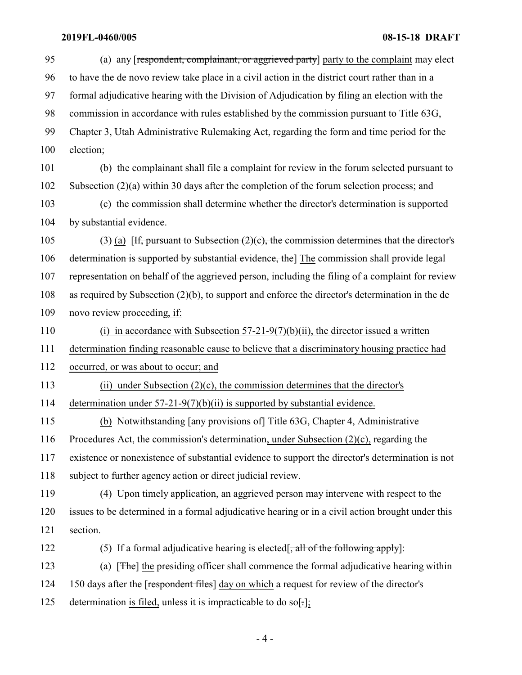# **2019FL-0460/005 08-15-18 DRAFT**

| 95  | (a) any respondent, complainant, or aggrieved party party to the complaint may elect               |
|-----|----------------------------------------------------------------------------------------------------|
| 96  | to have the de novo review take place in a civil action in the district court rather than in a     |
| 97  | formal adjudicative hearing with the Division of Adjudication by filing an election with the       |
| 98  | commission in accordance with rules established by the commission pursuant to Title 63G,           |
| 99  | Chapter 3, Utah Administrative Rulemaking Act, regarding the form and time period for the          |
| 100 | election;                                                                                          |
| 101 | (b) the complainant shall file a complaint for review in the forum selected pursuant to            |
| 102 | Subsection $(2)(a)$ within 30 days after the completion of the forum selection process; and        |
| 103 | (c) the commission shall determine whether the director's determination is supported               |
| 104 | by substantial evidence.                                                                           |
| 105 | (3) (a) [H, pursuant to Subsection $(2)(c)$ , the commission determines that the director's        |
| 106 | determination is supported by substantial evidence, the] The commission shall provide legal        |
| 107 | representation on behalf of the aggrieved person, including the filing of a complaint for review   |
| 108 | as required by Subsection $(2)(b)$ , to support and enforce the director's determination in the de |
| 109 | novo review proceeding, if:                                                                        |
| 110 | (i) in accordance with Subsection $57-21-9(7)(b)(ii)$ , the director issued a written              |
| 111 | determination finding reasonable cause to believe that a discriminatory housing practice had       |
| 112 | occurred, or was about to occur; and                                                               |
| 113 | (ii) under Subsection $(2)(c)$ , the commission determines that the director's                     |
| 114 | determination under $57-21-9(7)(b)(ii)$ is supported by substantial evidence.                      |
| 115 | (b) Notwithstanding [any provisions of] Title 63G, Chapter 4, Administrative                       |
| 116 | Procedures Act, the commission's determination, under Subsection (2)(c), regarding the             |
| 117 | existence or nonexistence of substantial evidence to support the director's determination is not   |
| 118 | subject to further agency action or direct judicial review.                                        |
| 119 | (4) Upon timely application, an aggrieved person may intervene with respect to the                 |
| 120 | issues to be determined in a formal adjudicative hearing or in a civil action brought under this   |
| 121 | section.                                                                                           |
| 122 | (5) If a formal adjudicative hearing is elected $\frac{1}{x}$ all of the following apply]:         |
| 123 | (a) [The] the presiding officer shall commence the formal adjudicative hearing within              |
| 124 | 150 days after the [respondent files] day on which a request for review of the director's          |
| 125 | determination is filed, unless it is impracticable to do so[.];                                    |